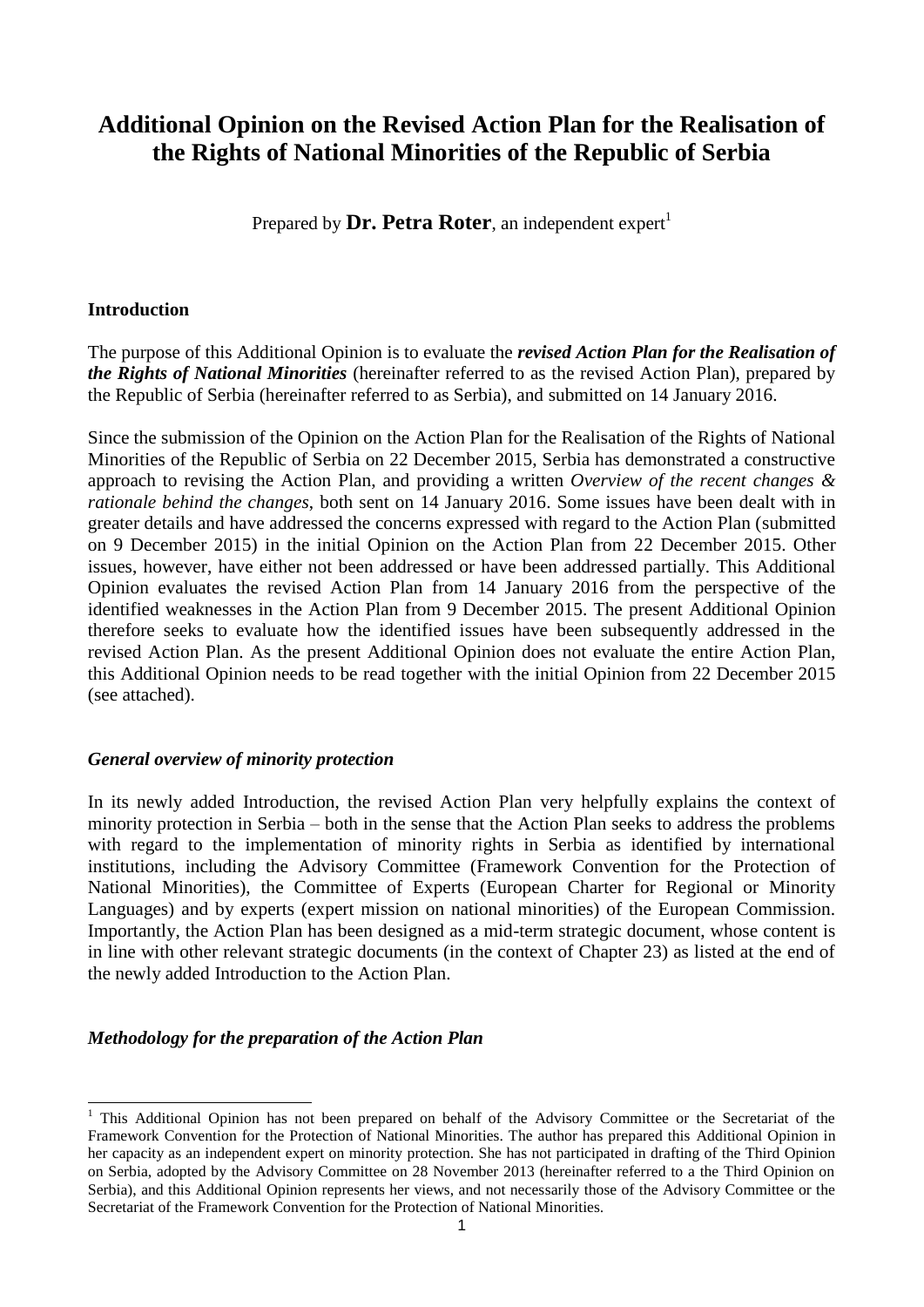# **Additional Opinion on the Revised Action Plan for the Realisation of the Rights of National Minorities of the Republic of Serbia**

Prepared by **Dr. Petra Roter**, an independent expert<sup>1</sup>

#### **Introduction**

1

The purpose of this Additional Opinion is to evaluate the *revised Action Plan for the Realisation of the Rights of National Minorities* (hereinafter referred to as the revised Action Plan), prepared by the Republic of Serbia (hereinafter referred to as Serbia), and submitted on 14 January 2016.

Since the submission of the Opinion on the Action Plan for the Realisation of the Rights of National Minorities of the Republic of Serbia on 22 December 2015, Serbia has demonstrated a constructive approach to revising the Action Plan, and providing a written *Overview of the recent changes & rationale behind the changes*, both sent on 14 January 2016. Some issues have been dealt with in greater details and have addressed the concerns expressed with regard to the Action Plan (submitted on 9 December 2015) in the initial Opinion on the Action Plan from 22 December 2015. Other issues, however, have either not been addressed or have been addressed partially. This Additional Opinion evaluates the revised Action Plan from 14 January 2016 from the perspective of the identified weaknesses in the Action Plan from 9 December 2015. The present Additional Opinion therefore seeks to evaluate how the identified issues have been subsequently addressed in the revised Action Plan. As the present Additional Opinion does not evaluate the entire Action Plan, this Additional Opinion needs to be read together with the initial Opinion from 22 December 2015 (see attached).

#### *General overview of minority protection*

In its newly added Introduction, the revised Action Plan very helpfully explains the context of minority protection in Serbia – both in the sense that the Action Plan seeks to address the problems with regard to the implementation of minority rights in Serbia as identified by international institutions, including the Advisory Committee (Framework Convention for the Protection of National Minorities), the Committee of Experts (European Charter for Regional or Minority Languages) and by experts (expert mission on national minorities) of the European Commission. Importantly, the Action Plan has been designed as a mid-term strategic document, whose content is in line with other relevant strategic documents (in the context of Chapter 23) as listed at the end of the newly added Introduction to the Action Plan.

# *Methodology for the preparation of the Action Plan*

<sup>&</sup>lt;sup>1</sup> This Additional Opinion has not been prepared on behalf of the Advisory Committee or the Secretariat of the Framework Convention for the Protection of National Minorities. The author has prepared this Additional Opinion in her capacity as an independent expert on minority protection. She has not participated in drafting of the Third Opinion on Serbia, adopted by the Advisory Committee on 28 November 2013 (hereinafter referred to a the Third Opinion on Serbia), and this Additional Opinion represents her views, and not necessarily those of the Advisory Committee or the Secretariat of the Framework Convention for the Protection of National Minorities.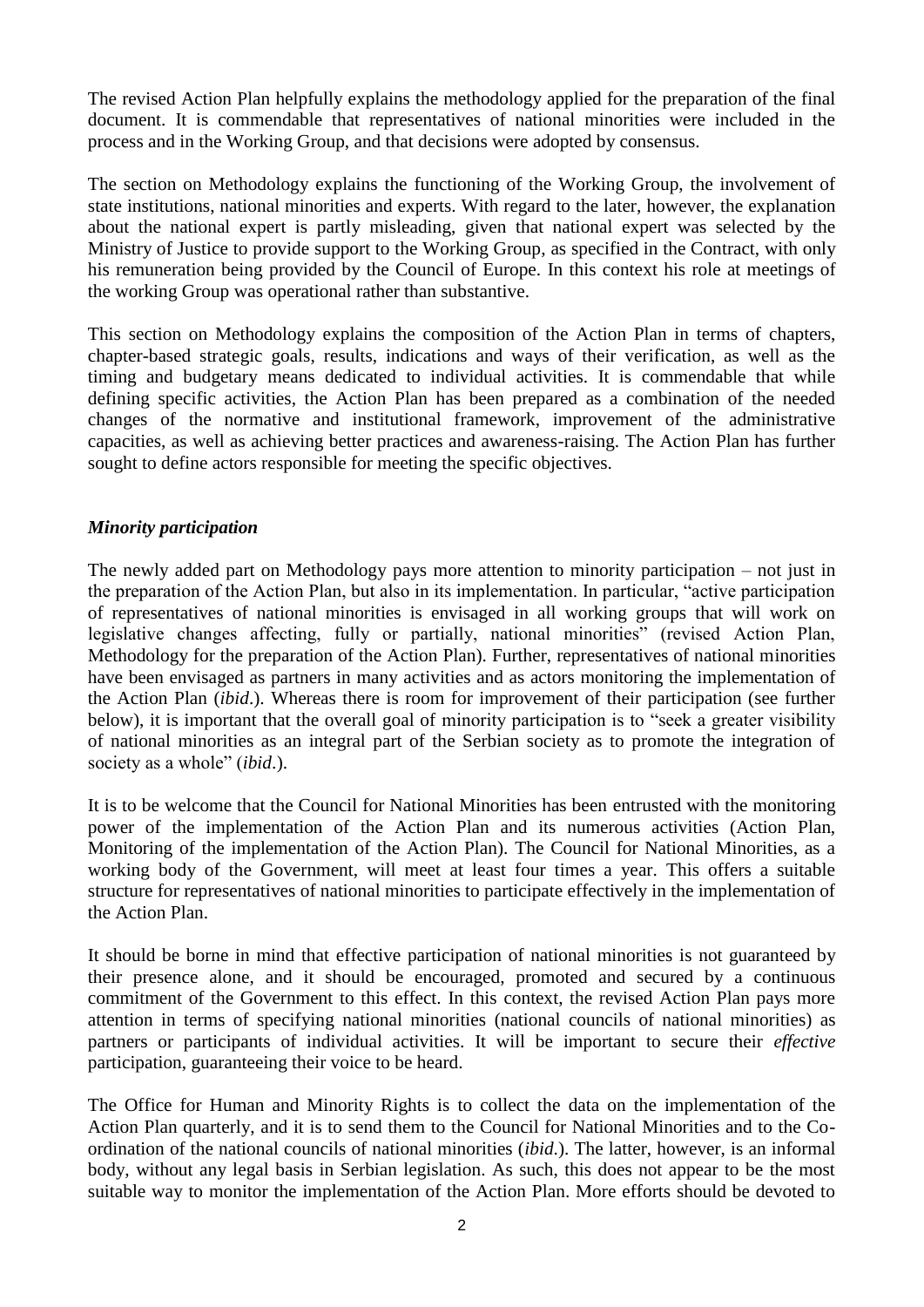The revised Action Plan helpfully explains the methodology applied for the preparation of the final document. It is commendable that representatives of national minorities were included in the process and in the Working Group, and that decisions were adopted by consensus.

The section on Methodology explains the functioning of the Working Group, the involvement of state institutions, national minorities and experts. With regard to the later, however, the explanation about the national expert is partly misleading, given that national expert was selected by the Ministry of Justice to provide support to the Working Group, as specified in the Contract, with only his remuneration being provided by the Council of Europe. In this context his role at meetings of the working Group was operational rather than substantive.

This section on Methodology explains the composition of the Action Plan in terms of chapters, chapter-based strategic goals, results, indications and ways of their verification, as well as the timing and budgetary means dedicated to individual activities. It is commendable that while defining specific activities, the Action Plan has been prepared as a combination of the needed changes of the normative and institutional framework, improvement of the administrative capacities, as well as achieving better practices and awareness-raising. The Action Plan has further sought to define actors responsible for meeting the specific objectives.

## *Minority participation*

The newly added part on Methodology pays more attention to minority participation – not just in the preparation of the Action Plan, but also in its implementation. In particular, "active participation of representatives of national minorities is envisaged in all working groups that will work on legislative changes affecting, fully or partially, national minorities" (revised Action Plan, Methodology for the preparation of the Action Plan). Further, representatives of national minorities have been envisaged as partners in many activities and as actors monitoring the implementation of the Action Plan (*ibid*.). Whereas there is room for improvement of their participation (see further below), it is important that the overall goal of minority participation is to "seek a greater visibility of national minorities as an integral part of the Serbian society as to promote the integration of society as a whole" (*ibid*.).

It is to be welcome that the Council for National Minorities has been entrusted with the monitoring power of the implementation of the Action Plan and its numerous activities (Action Plan, Monitoring of the implementation of the Action Plan). The Council for National Minorities, as a working body of the Government, will meet at least four times a year. This offers a suitable structure for representatives of national minorities to participate effectively in the implementation of the Action Plan.

It should be borne in mind that effective participation of national minorities is not guaranteed by their presence alone, and it should be encouraged, promoted and secured by a continuous commitment of the Government to this effect. In this context, the revised Action Plan pays more attention in terms of specifying national minorities (national councils of national minorities) as partners or participants of individual activities. It will be important to secure their *effective* participation, guaranteeing their voice to be heard.

The Office for Human and Minority Rights is to collect the data on the implementation of the Action Plan quarterly, and it is to send them to the Council for National Minorities and to the Coordination of the national councils of national minorities (*ibid*.). The latter, however, is an informal body, without any legal basis in Serbian legislation. As such, this does not appear to be the most suitable way to monitor the implementation of the Action Plan. More efforts should be devoted to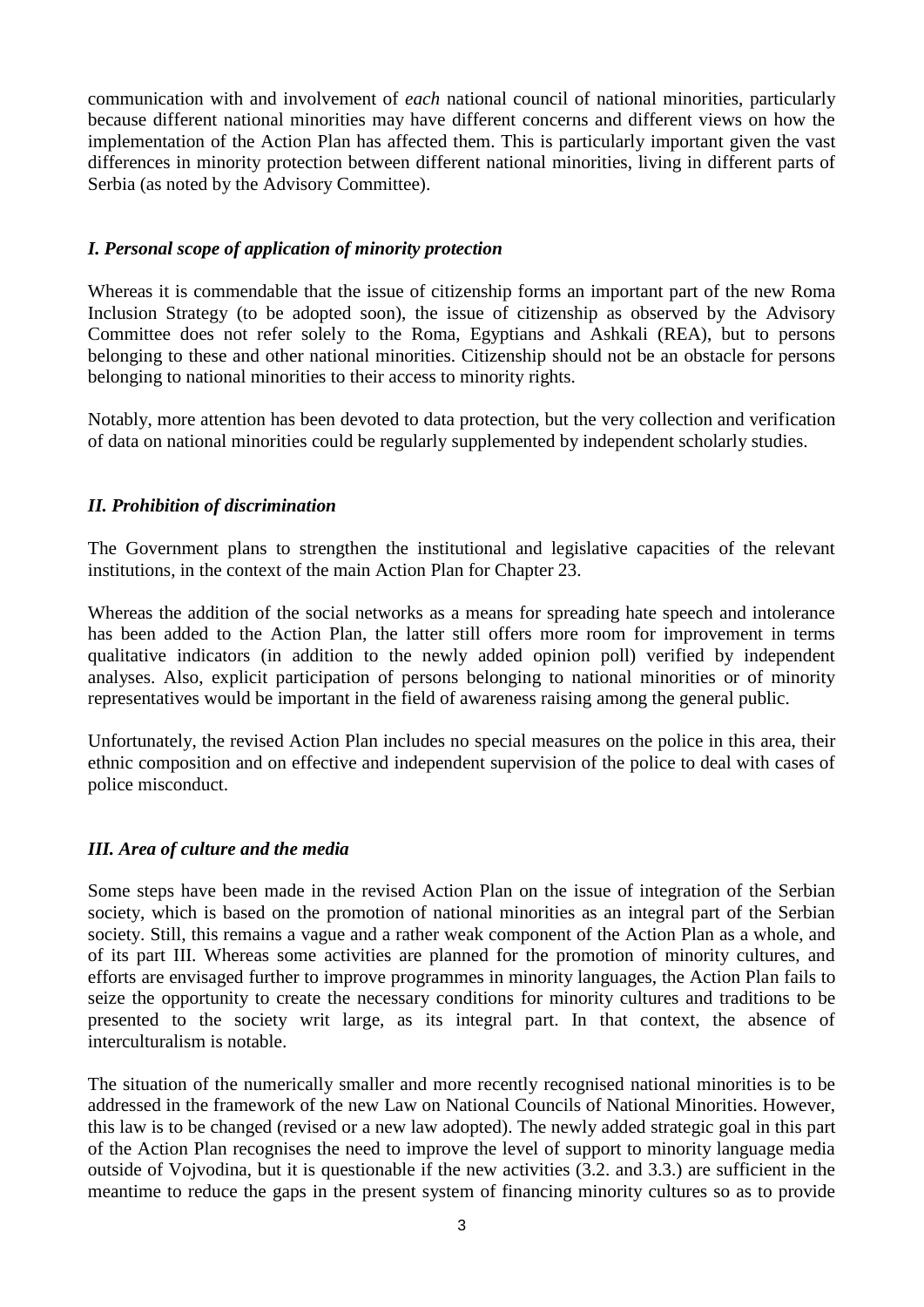communication with and involvement of *each* national council of national minorities, particularly because different national minorities may have different concerns and different views on how the implementation of the Action Plan has affected them. This is particularly important given the vast differences in minority protection between different national minorities, living in different parts of Serbia (as noted by the Advisory Committee).

## *I. Personal scope of application of minority protection*

Whereas it is commendable that the issue of citizenship forms an important part of the new Roma Inclusion Strategy (to be adopted soon), the issue of citizenship as observed by the Advisory Committee does not refer solely to the Roma, Egyptians and Ashkali (REA), but to persons belonging to these and other national minorities. Citizenship should not be an obstacle for persons belonging to national minorities to their access to minority rights.

Notably, more attention has been devoted to data protection, but the very collection and verification of data on national minorities could be regularly supplemented by independent scholarly studies.

## *II. Prohibition of discrimination*

The Government plans to strengthen the institutional and legislative capacities of the relevant institutions, in the context of the main Action Plan for Chapter 23.

Whereas the addition of the social networks as a means for spreading hate speech and intolerance has been added to the Action Plan, the latter still offers more room for improvement in terms qualitative indicators (in addition to the newly added opinion poll) verified by independent analyses. Also, explicit participation of persons belonging to national minorities or of minority representatives would be important in the field of awareness raising among the general public.

Unfortunately, the revised Action Plan includes no special measures on the police in this area, their ethnic composition and on effective and independent supervision of the police to deal with cases of police misconduct.

# *III. Area of culture and the media*

Some steps have been made in the revised Action Plan on the issue of integration of the Serbian society, which is based on the promotion of national minorities as an integral part of the Serbian society. Still, this remains a vague and a rather weak component of the Action Plan as a whole, and of its part III. Whereas some activities are planned for the promotion of minority cultures, and efforts are envisaged further to improve programmes in minority languages, the Action Plan fails to seize the opportunity to create the necessary conditions for minority cultures and traditions to be presented to the society writ large, as its integral part. In that context, the absence of interculturalism is notable.

The situation of the numerically smaller and more recently recognised national minorities is to be addressed in the framework of the new Law on National Councils of National Minorities. However, this law is to be changed (revised or a new law adopted). The newly added strategic goal in this part of the Action Plan recognises the need to improve the level of support to minority language media outside of Vojvodina, but it is questionable if the new activities (3.2. and 3.3.) are sufficient in the meantime to reduce the gaps in the present system of financing minority cultures so as to provide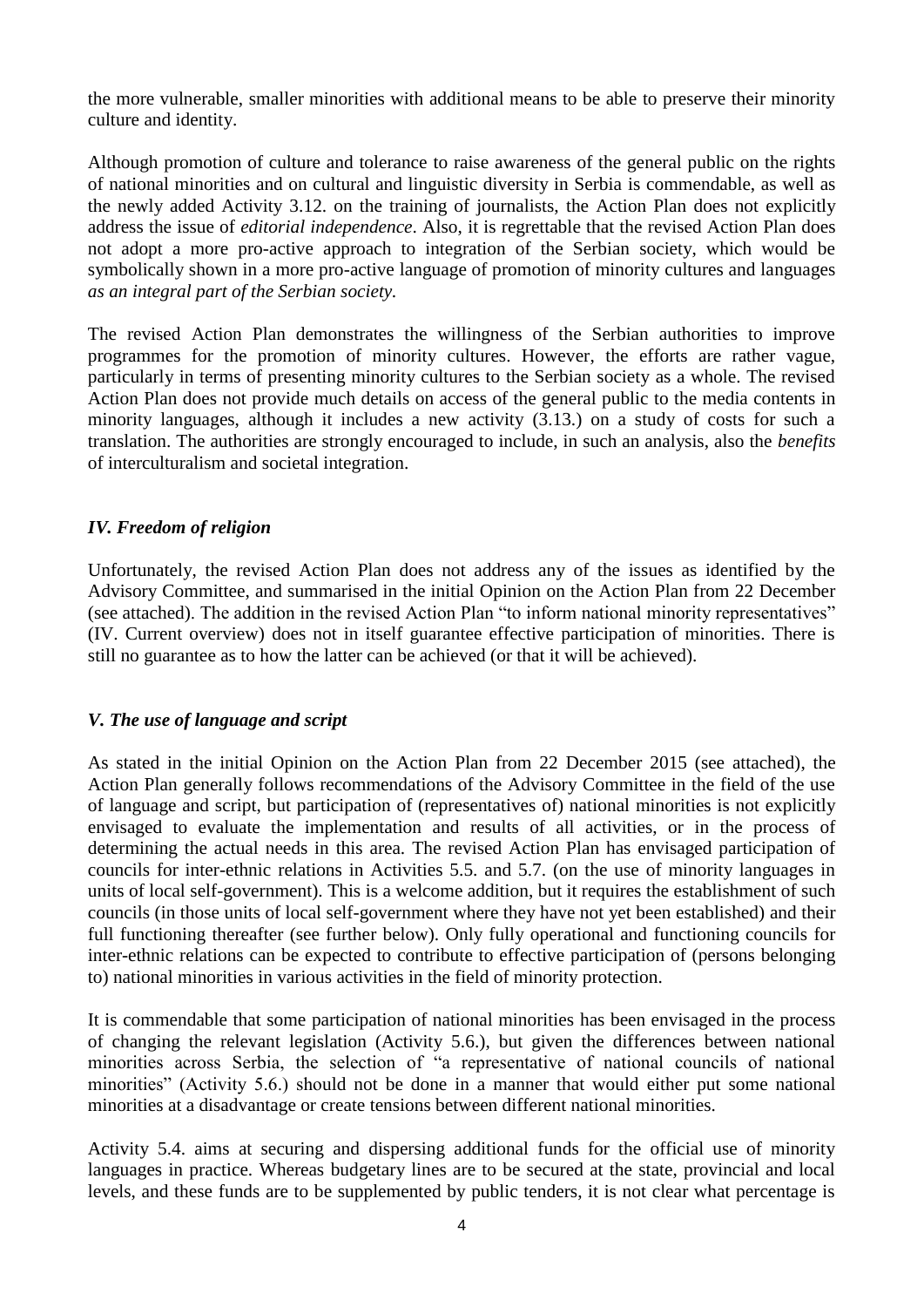the more vulnerable, smaller minorities with additional means to be able to preserve their minority culture and identity.

Although promotion of culture and tolerance to raise awareness of the general public on the rights of national minorities and on cultural and linguistic diversity in Serbia is commendable, as well as the newly added Activity 3.12. on the training of journalists, the Action Plan does not explicitly address the issue of *editorial independence*. Also, it is regrettable that the revised Action Plan does not adopt a more pro-active approach to integration of the Serbian society, which would be symbolically shown in a more pro-active language of promotion of minority cultures and languages *as an integral part of the Serbian society.*

The revised Action Plan demonstrates the willingness of the Serbian authorities to improve programmes for the promotion of minority cultures. However, the efforts are rather vague, particularly in terms of presenting minority cultures to the Serbian society as a whole. The revised Action Plan does not provide much details on access of the general public to the media contents in minority languages, although it includes a new activity (3.13.) on a study of costs for such a translation. The authorities are strongly encouraged to include, in such an analysis, also the *benefits*  of interculturalism and societal integration.

# *IV. Freedom of religion*

Unfortunately, the revised Action Plan does not address any of the issues as identified by the Advisory Committee, and summarised in the initial Opinion on the Action Plan from 22 December (see attached). The addition in the revised Action Plan "to inform national minority representatives" (IV. Current overview) does not in itself guarantee effective participation of minorities. There is still no guarantee as to how the latter can be achieved (or that it will be achieved).

# *V. The use of language and script*

As stated in the initial Opinion on the Action Plan from 22 December 2015 (see attached), the Action Plan generally follows recommendations of the Advisory Committee in the field of the use of language and script, but participation of (representatives of) national minorities is not explicitly envisaged to evaluate the implementation and results of all activities, or in the process of determining the actual needs in this area. The revised Action Plan has envisaged participation of councils for inter-ethnic relations in Activities 5.5. and 5.7. (on the use of minority languages in units of local self-government). This is a welcome addition, but it requires the establishment of such councils (in those units of local self-government where they have not yet been established) and their full functioning thereafter (see further below). Only fully operational and functioning councils for inter-ethnic relations can be expected to contribute to effective participation of (persons belonging to) national minorities in various activities in the field of minority protection.

It is commendable that some participation of national minorities has been envisaged in the process of changing the relevant legislation (Activity 5.6.), but given the differences between national minorities across Serbia, the selection of "a representative of national councils of national minorities" (Activity 5.6.) should not be done in a manner that would either put some national minorities at a disadvantage or create tensions between different national minorities.

Activity 5.4. aims at securing and dispersing additional funds for the official use of minority languages in practice. Whereas budgetary lines are to be secured at the state, provincial and local levels, and these funds are to be supplemented by public tenders, it is not clear what percentage is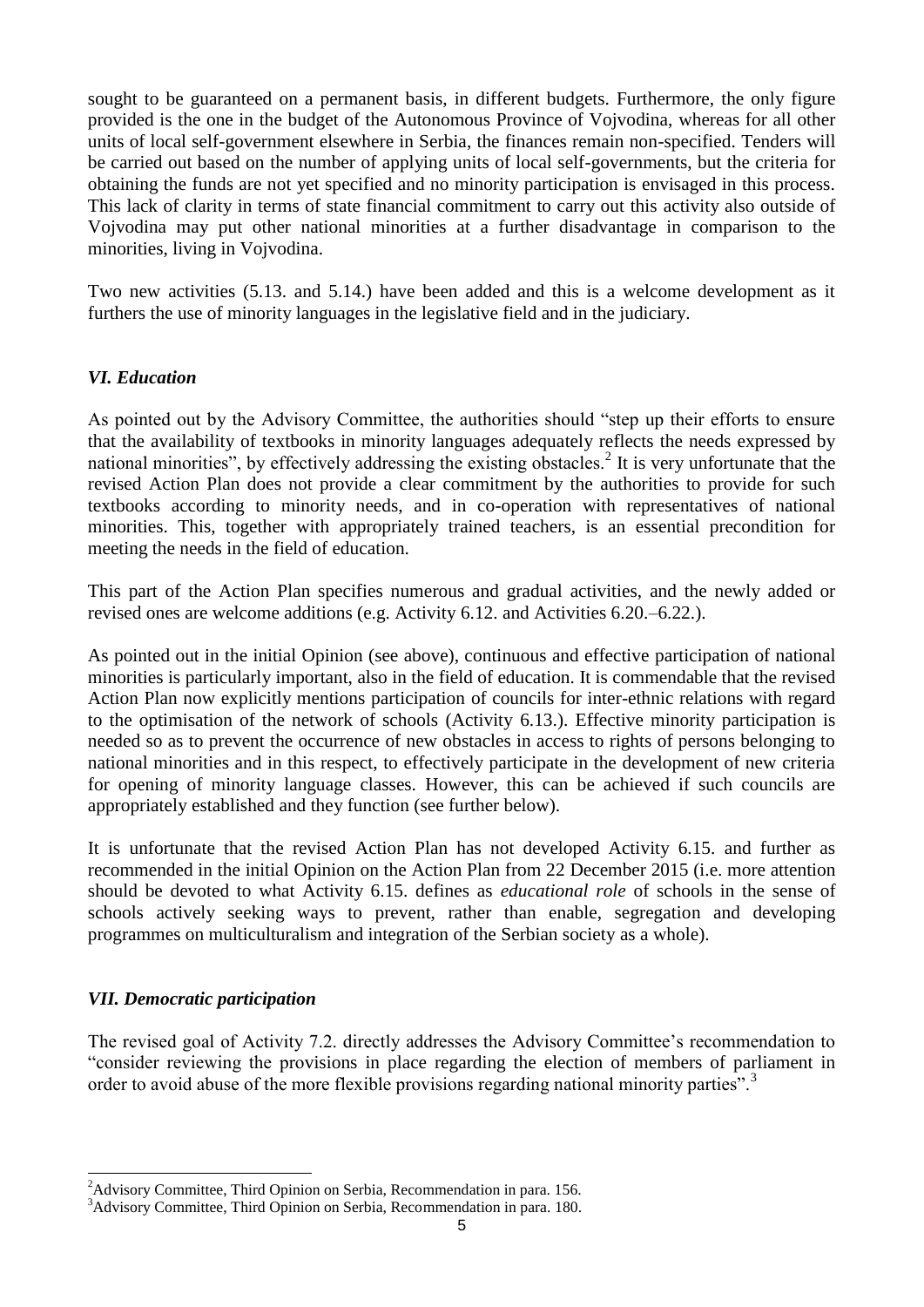sought to be guaranteed on a permanent basis, in different budgets. Furthermore, the only figure provided is the one in the budget of the Autonomous Province of Vojvodina, whereas for all other units of local self-government elsewhere in Serbia, the finances remain non-specified. Tenders will be carried out based on the number of applying units of local self-governments, but the criteria for obtaining the funds are not yet specified and no minority participation is envisaged in this process. This lack of clarity in terms of state financial commitment to carry out this activity also outside of Vojvodina may put other national minorities at a further disadvantage in comparison to the minorities, living in Vojvodina.

Two new activities (5.13. and 5.14.) have been added and this is a welcome development as it furthers the use of minority languages in the legislative field and in the judiciary.

## *VI. Education*

As pointed out by the Advisory Committee, the authorities should "step up their efforts to ensure that the availability of textbooks in minority languages adequately reflects the needs expressed by national minorities", by effectively addressing the existing obstacles.<sup>2</sup> It is very unfortunate that the revised Action Plan does not provide a clear commitment by the authorities to provide for such textbooks according to minority needs, and in co-operation with representatives of national minorities. This, together with appropriately trained teachers, is an essential precondition for meeting the needs in the field of education.

This part of the Action Plan specifies numerous and gradual activities, and the newly added or revised ones are welcome additions (e.g. Activity 6.12. and Activities 6.20.–6.22.).

As pointed out in the initial Opinion (see above), continuous and effective participation of national minorities is particularly important, also in the field of education. It is commendable that the revised Action Plan now explicitly mentions participation of councils for inter-ethnic relations with regard to the optimisation of the network of schools (Activity 6.13.). Effective minority participation is needed so as to prevent the occurrence of new obstacles in access to rights of persons belonging to national minorities and in this respect, to effectively participate in the development of new criteria for opening of minority language classes. However, this can be achieved if such councils are appropriately established and they function (see further below).

It is unfortunate that the revised Action Plan has not developed Activity 6.15. and further as recommended in the initial Opinion on the Action Plan from 22 December 2015 (i.e. more attention should be devoted to what Activity 6.15. defines as *educational role* of schools in the sense of schools actively seeking ways to prevent, rather than enable, segregation and developing programmes on multiculturalism and integration of the Serbian society as a whole).

#### *VII. Democratic participation*

-

The revised goal of Activity 7.2. directly addresses the Advisory Committee's recommendation to "consider reviewing the provisions in place regarding the election of members of parliament in order to avoid abuse of the more flexible provisions regarding national minority parties".<sup>3</sup>

 $2A$ dvisory Committee, Third Opinion on Serbia, Recommendation in para. 156.

<sup>&</sup>lt;sup>3</sup>Advisory Committee, Third Opinion on Serbia, Recommendation in para. 180.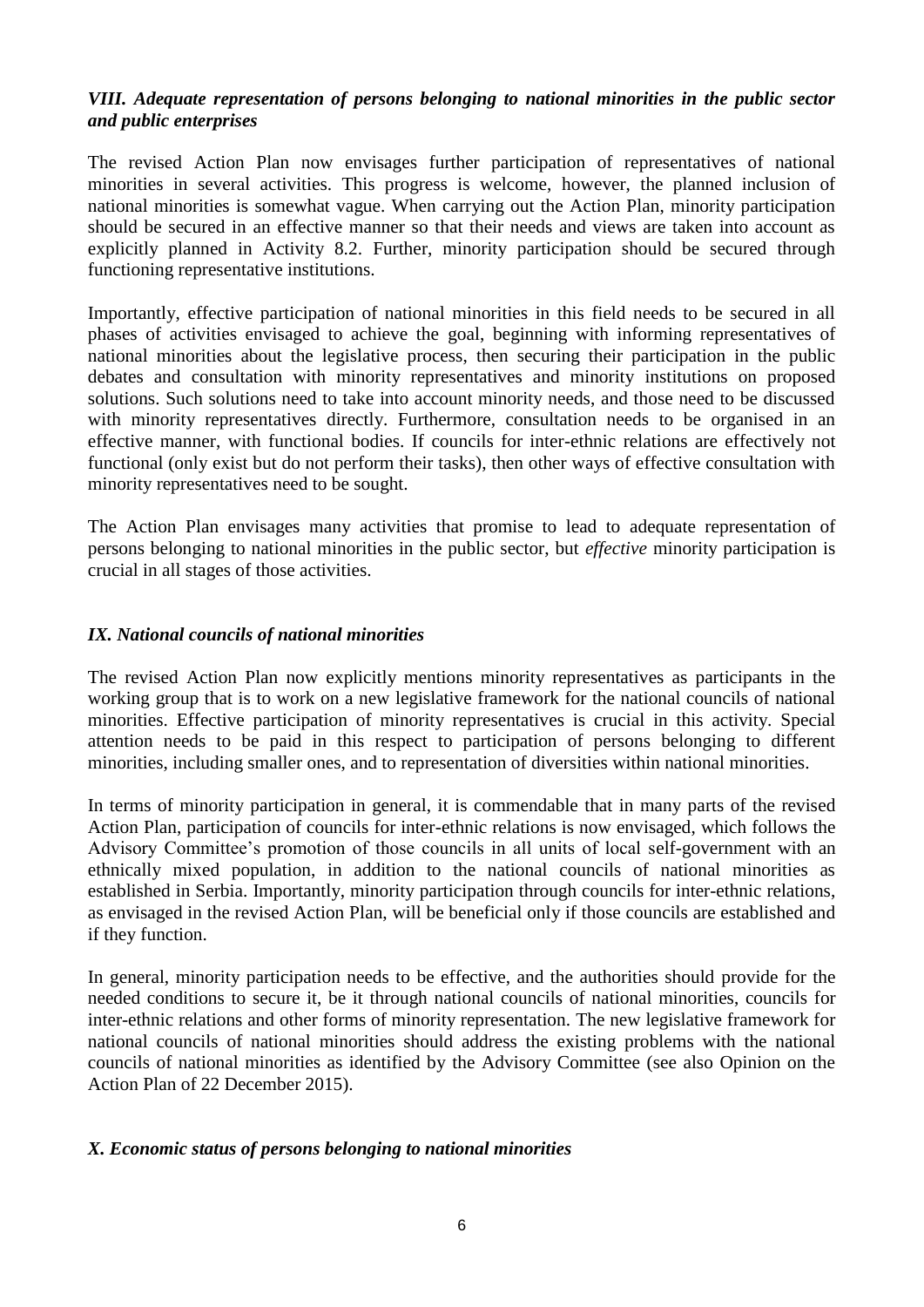# *VIII. Adequate representation of persons belonging to national minorities in the public sector and public enterprises*

The revised Action Plan now envisages further participation of representatives of national minorities in several activities. This progress is welcome, however, the planned inclusion of national minorities is somewhat vague. When carrying out the Action Plan, minority participation should be secured in an effective manner so that their needs and views are taken into account as explicitly planned in Activity 8.2. Further, minority participation should be secured through functioning representative institutions.

Importantly, effective participation of national minorities in this field needs to be secured in all phases of activities envisaged to achieve the goal, beginning with informing representatives of national minorities about the legislative process, then securing their participation in the public debates and consultation with minority representatives and minority institutions on proposed solutions. Such solutions need to take into account minority needs, and those need to be discussed with minority representatives directly. Furthermore, consultation needs to be organised in an effective manner, with functional bodies. If councils for inter-ethnic relations are effectively not functional (only exist but do not perform their tasks), then other ways of effective consultation with minority representatives need to be sought.

The Action Plan envisages many activities that promise to lead to adequate representation of persons belonging to national minorities in the public sector, but *effective* minority participation is crucial in all stages of those activities.

# *IX. National councils of national minorities*

The revised Action Plan now explicitly mentions minority representatives as participants in the working group that is to work on a new legislative framework for the national councils of national minorities. Effective participation of minority representatives is crucial in this activity. Special attention needs to be paid in this respect to participation of persons belonging to different minorities, including smaller ones, and to representation of diversities within national minorities.

In terms of minority participation in general, it is commendable that in many parts of the revised Action Plan, participation of councils for inter-ethnic relations is now envisaged, which follows the Advisory Committee's promotion of those councils in all units of local self-government with an ethnically mixed population, in addition to the national councils of national minorities as established in Serbia. Importantly, minority participation through councils for inter-ethnic relations, as envisaged in the revised Action Plan, will be beneficial only if those councils are established and if they function.

In general, minority participation needs to be effective, and the authorities should provide for the needed conditions to secure it, be it through national councils of national minorities, councils for inter-ethnic relations and other forms of minority representation. The new legislative framework for national councils of national minorities should address the existing problems with the national councils of national minorities as identified by the Advisory Committee (see also Opinion on the Action Plan of 22 December 2015).

#### *X. Economic status of persons belonging to national minorities*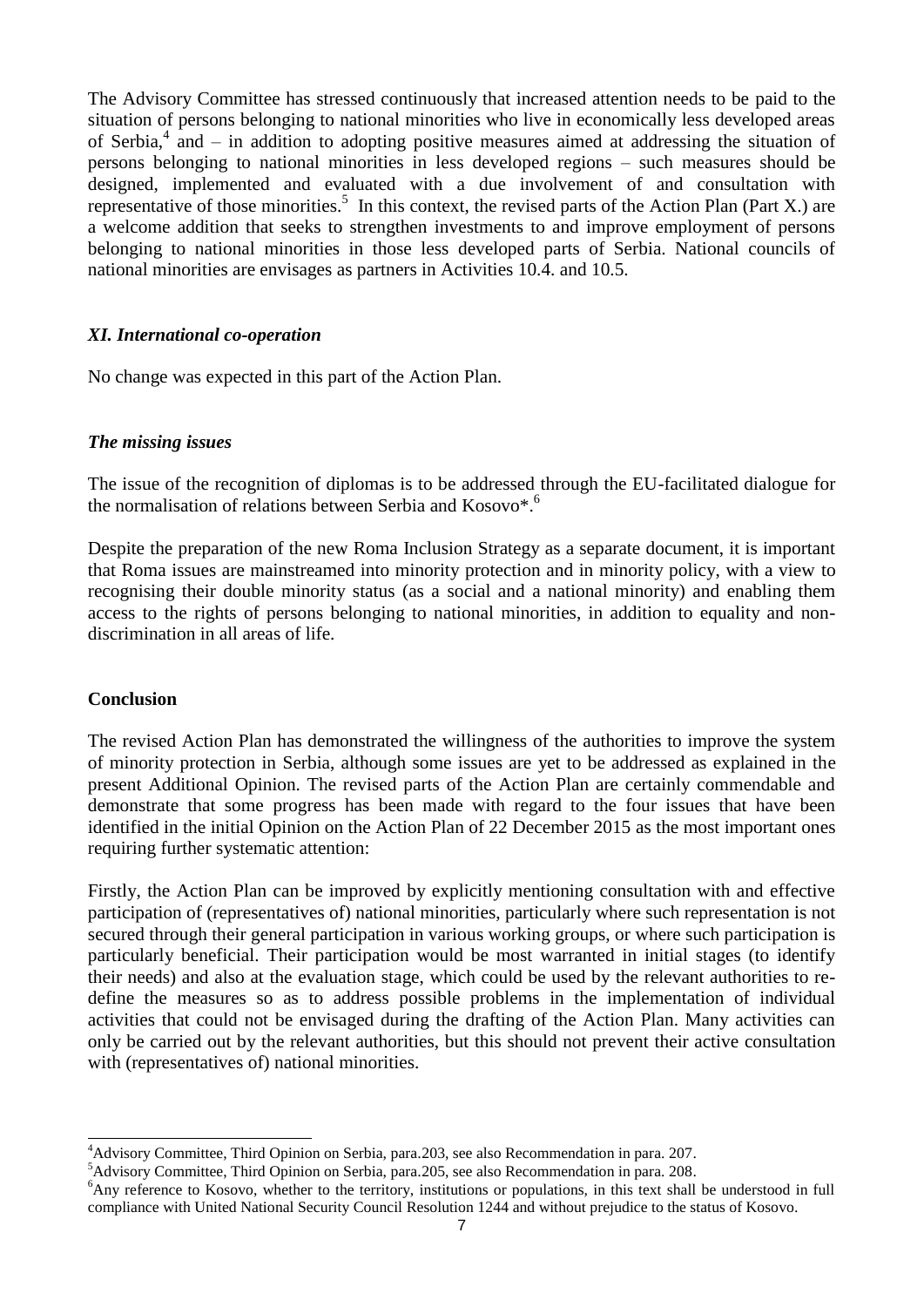The Advisory Committee has stressed continuously that increased attention needs to be paid to the situation of persons belonging to national minorities who live in economically less developed areas of Serbia,<sup>4</sup> and – in addition to adopting positive measures aimed at addressing the situation of persons belonging to national minorities in less developed regions – such measures should be designed, implemented and evaluated with a due involvement of and consultation with representative of those minorities.<sup>5</sup> In this context, the revised parts of the Action Plan (Part X.) are a welcome addition that seeks to strengthen investments to and improve employment of persons belonging to national minorities in those less developed parts of Serbia. National councils of national minorities are envisages as partners in Activities 10.4. and 10.5.

#### *XI. International co-operation*

No change was expected in this part of the Action Plan.

## *The missing issues*

The issue of the recognition of diplomas is to be addressed through the EU-facilitated dialogue for the normalisation of relations between Serbia and Kosovo\*. 6

Despite the preparation of the new Roma Inclusion Strategy as a separate document, it is important that Roma issues are mainstreamed into minority protection and in minority policy, with a view to recognising their double minority status (as a social and a national minority) and enabling them access to the rights of persons belonging to national minorities, in addition to equality and nondiscrimination in all areas of life.

#### **Conclusion**

The revised Action Plan has demonstrated the willingness of the authorities to improve the system of minority protection in Serbia, although some issues are yet to be addressed as explained in the present Additional Opinion. The revised parts of the Action Plan are certainly commendable and demonstrate that some progress has been made with regard to the four issues that have been identified in the initial Opinion on the Action Plan of 22 December 2015 as the most important ones requiring further systematic attention:

Firstly, the Action Plan can be improved by explicitly mentioning consultation with and effective participation of (representatives of) national minorities, particularly where such representation is not secured through their general participation in various working groups, or where such participation is particularly beneficial. Their participation would be most warranted in initial stages (to identify their needs) and also at the evaluation stage, which could be used by the relevant authorities to redefine the measures so as to address possible problems in the implementation of individual activities that could not be envisaged during the drafting of the Action Plan. Many activities can only be carried out by the relevant authorities, but this should not prevent their active consultation with (representatives of) national minorities.

<sup>-</sup><sup>4</sup>Advisory Committee, Third Opinion on Serbia, para. 203, see also Recommendation in para. 207.

<sup>&</sup>lt;sup>5</sup>Advisory Committee, Third Opinion on Serbia, para.205, see also Recommendation in para. 208.

<sup>&</sup>lt;sup>6</sup>Any reference to Kosovo, whether to the territory, institutions or populations, in this text shall be understood in full compliance with United National Security Council Resolution 1244 and without prejudice to the status of Kosovo.